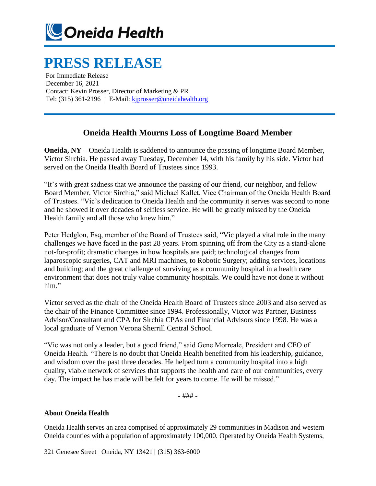

## **PRESS RELEASE**

For Immediate Release December 16, 2021 Contact: Kevin Prosser, Director of Marketing & PR Tel: (315) 361-2196 | E-Mail[: kjprosser@oneidahealth.org](mailto:kjprosser@oneidahealth.org)

## **Oneida Health Mourns Loss of Longtime Board Member**

**Oneida, NY** – Oneida Health is saddened to announce the passing of longtime Board Member, Victor Sirchia. He passed away Tuesday, December 14, with his family by his side. Victor had served on the Oneida Health Board of Trustees since 1993.

"It's with great sadness that we announce the passing of our friend, our neighbor, and fellow Board Member, Victor Sirchia," said Michael Kallet, Vice Chairman of the Oneida Health Board of Trustees. "Vic's dedication to Oneida Health and the community it serves was second to none and he showed it over decades of selfless service. He will be greatly missed by the Oneida Health family and all those who knew him."

Peter Hedglon, Esq, member of the Board of Trustees said, "Vic played a vital role in the many challenges we have faced in the past 28 years. From spinning off from the City as a stand-alone not-for-profit; dramatic changes in how hospitals are paid; technological changes from laparoscopic surgeries, CAT and MRI machines, to Robotic Surgery; adding services, locations and building; and the great challenge of surviving as a community hospital in a health care environment that does not truly value community hospitals. We could have not done it without him."

Victor served as the chair of the Oneida Health Board of Trustees since 2003 and also served as the chair of the Finance Committee since 1994. Professionally, Victor was Partner, Business Advisor/Consultant and CPA for Sirchia CPAs and Financial Advisors since 1998. He was a local graduate of Vernon Verona Sherrill Central School.

"Vic was not only a leader, but a good friend," said Gene Morreale, President and CEO of Oneida Health. "There is no doubt that Oneida Health benefited from his leadership, guidance, and wisdom over the past three decades. He helped turn a community hospital into a high quality, viable network of services that supports the health and care of our communities, every day. The impact he has made will be felt for years to come. He will be missed."

- ### -

## **About Oneida Health**

Oneida Health serves an area comprised of approximately 29 communities in Madison and western Oneida counties with a population of approximately 100,000. Operated by Oneida Health Systems,

321 Genesee Street | Oneida, NY 13421 | (315) 363-6000